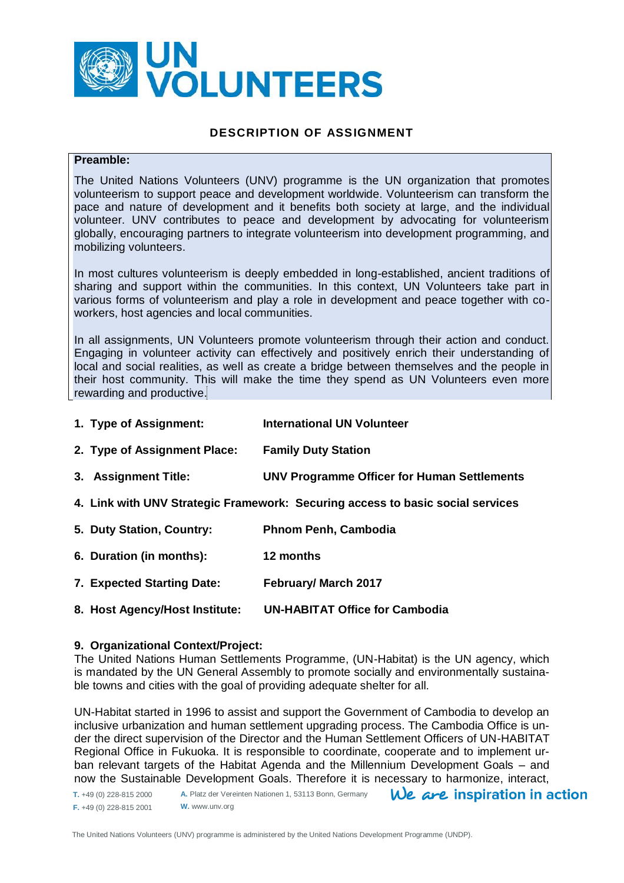

### **DESCRIPTION OF ASSIGNMENT**

### **Preamble:**

The United Nations Volunteers (UNV) programme is the UN organization that promotes volunteerism to support peace and development worldwide. Volunteerism can transform the pace and nature of development and it benefits both society at large, and the individual volunteer. UNV contributes to peace and development by advocating for volunteerism globally, encouraging partners to integrate volunteerism into development programming, and mobilizing volunteers.

In most cultures volunteerism is deeply embedded in long-established, ancient traditions of sharing and support within the communities. In this context, UN Volunteers take part in various forms of volunteerism and play a role in development and peace together with coworkers, host agencies and local communities.

In all assignments, UN Volunteers promote volunteerism through their action and conduct. Engaging in volunteer activity can effectively and positively enrich their understanding of local and social realities, as well as create a bridge between themselves and the people in their host community. This will make the time they spend as UN Volunteers even more rewarding and productive.

- **1. Type of Assignment: International UN Volunteer**
- **2. Type of Assignment Place: Family Duty Station**
- **3. Assignment Title: UNV Programme Officer for Human Settlements**
- **4. Link with UNV Strategic Framework: Securing access to basic social services**
- **5. Duty Station, Country: Phnom Penh, Cambodia**
- **6. Duration (in months): 12 months**
- **7. Expected Starting Date: February/ March 2017**
- **8. Host Agency/Host Institute: UN-HABITAT Office for Cambodia**

### **9. Organizational Context/Project:**

The United Nations Human Settlements Programme, (UN-Habitat) is the UN agency, which is mandated by the UN General Assembly to promote socially and environmentally sustainable towns and cities with the goal of providing adequate shelter for all.

UN-Habitat started in 1996 to assist and support the Government of Cambodia to develop an inclusive urbanization and human settlement upgrading process. The Cambodia Office is under the direct supervision of the Director and the Human Settlement Officers of UN-HABITAT Regional Office in Fukuoka. It is responsible to coordinate, cooperate and to implement urban relevant targets of the Habitat Agenda and the Millennium Development Goals – and now the Sustainable Development Goals. Therefore it is necessary to harmonize, interact,

**A.** Platz der Vereinten Nationen 1, 53113 Bonn, Germany  $We$  are inspiration in action **T.** +49 (0) 228-815 2000 **F.** +49 (0) 228-815 2001 **W.** www.unv.org

The United Nations Volunteers (UNV) programme is administered by the United Nations Development Programme (UNDP).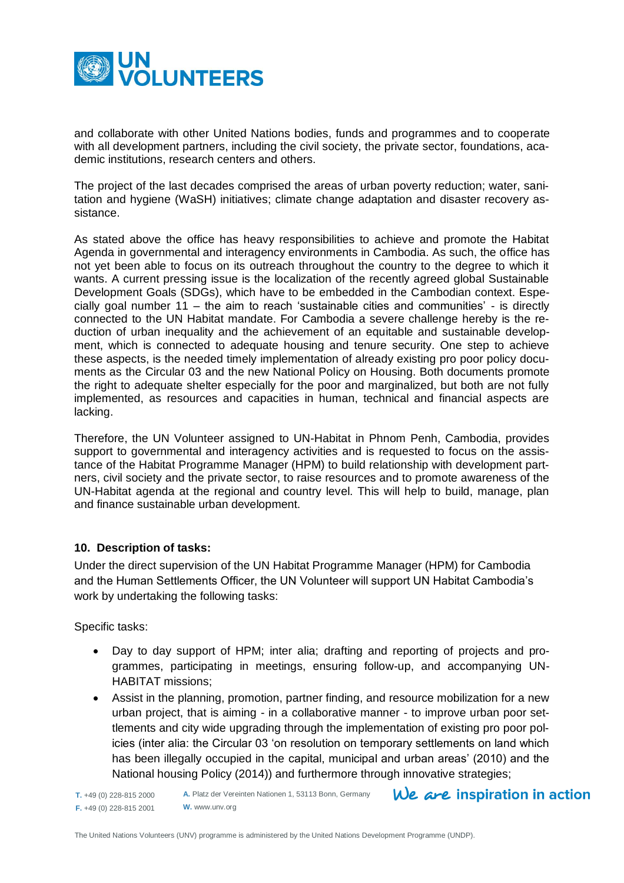

and collaborate with other United Nations bodies, funds and programmes and to cooperate with all development partners, including the civil society, the private sector, foundations, academic institutions, research centers and others.

The project of the last decades comprised the areas of urban poverty reduction; water, sanitation and hygiene (WaSH) initiatives; climate change adaptation and disaster recovery assistance.

As stated above the office has heavy responsibilities to achieve and promote the Habitat Agenda in governmental and interagency environments in Cambodia. As such, the office has not yet been able to focus on its outreach throughout the country to the degree to which it wants. A current pressing issue is the localization of the recently agreed global Sustainable Development Goals (SDGs), which have to be embedded in the Cambodian context. Especially goal number 11 – the aim to reach 'sustainable cities and communities' - is directly connected to the UN Habitat mandate. For Cambodia a severe challenge hereby is the reduction of urban inequality and the achievement of an equitable and sustainable development, which is connected to adequate housing and tenure security. One step to achieve these aspects, is the needed timely implementation of already existing pro poor policy documents as the Circular 03 and the new National Policy on Housing. Both documents promote the right to adequate shelter especially for the poor and marginalized, but both are not fully implemented, as resources and capacities in human, technical and financial aspects are lacking.

Therefore, the UN Volunteer assigned to UN-Habitat in Phnom Penh, Cambodia, provides support to governmental and interagency activities and is requested to focus on the assistance of the Habitat Programme Manager (HPM) to build relationship with development partners, civil society and the private sector, to raise resources and to promote awareness of the UN-Habitat agenda at the regional and country level. This will help to build, manage, plan and finance sustainable urban development.

## **10. Description of tasks:**

Under the direct supervision of the UN Habitat Programme Manager (HPM) for Cambodia and the Human Settlements Officer, the UN Volunteer will support UN Habitat Cambodia's work by undertaking the following tasks:

Specific tasks:

- Day to day support of HPM; inter alia; drafting and reporting of projects and programmes, participating in meetings, ensuring follow-up, and accompanying UN-HABITAT missions;
- Assist in the planning, promotion, partner finding, and resource mobilization for a new urban project, that is aiming - in a collaborative manner - to improve urban poor settlements and city wide upgrading through the implementation of existing pro poor policies (inter alia: the Circular 03 'on resolution on temporary settlements on land which has been illegally occupied in the capital, municipal and urban areas' (2010) and the National housing Policy (2014)) and furthermore through innovative strategies;

```
T. +49 (0) 228-815 2000
F. +49 (0) 228-815 2001
```
**A.** Platz der Vereinten Nationen 1, 53113 Bonn, Germany **W.** www.unv.org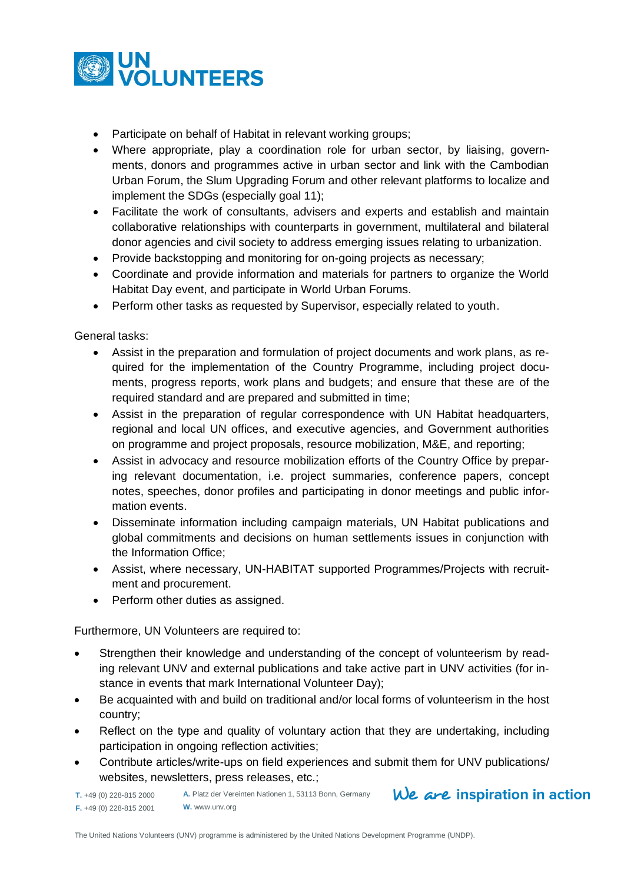

- Participate on behalf of Habitat in relevant working groups;
- Where appropriate, play a coordination role for urban sector, by liaising, governments, donors and programmes active in urban sector and link with the Cambodian Urban Forum, the Slum Upgrading Forum and other relevant platforms to localize and implement the SDGs (especially goal 11);
- Facilitate the work of consultants, advisers and experts and establish and maintain collaborative relationships with counterparts in government, multilateral and bilateral donor agencies and civil society to address emerging issues relating to urbanization.
- Provide backstopping and monitoring for on-going projects as necessary;
- Coordinate and provide information and materials for partners to organize the World Habitat Day event, and participate in World Urban Forums.
- Perform other tasks as requested by Supervisor, especially related to youth.

General tasks:

- Assist in the preparation and formulation of project documents and work plans, as required for the implementation of the Country Programme, including project documents, progress reports, work plans and budgets; and ensure that these are of the required standard and are prepared and submitted in time;
- Assist in the preparation of regular correspondence with UN Habitat headquarters, regional and local UN offices, and executive agencies, and Government authorities on programme and project proposals, resource mobilization, M&E, and reporting;
- Assist in advocacy and resource mobilization efforts of the Country Office by preparing relevant documentation, i.e. project summaries, conference papers, concept notes, speeches, donor profiles and participating in donor meetings and public information events.
- Disseminate information including campaign materials, UN Habitat publications and global commitments and decisions on human settlements issues in conjunction with the Information Office;
- Assist, where necessary, UN-HABITAT supported Programmes/Projects with recruitment and procurement.
- Perform other duties as assigned.

Furthermore, UN Volunteers are required to:

- Strengthen their knowledge and understanding of the concept of volunteerism by reading relevant UNV and external publications and take active part in UNV activities (for instance in events that mark International Volunteer Day);
- Be acquainted with and build on traditional and/or local forms of volunteerism in the host country;
- Reflect on the type and quality of voluntary action that they are undertaking, including participation in ongoing reflection activities;
- Contribute articles/write-ups on field experiences and submit them for UNV publications/ websites, newsletters, press releases, etc.;

**T.** +49 (0) 228-815 2000 **F.** +49 (0) 228-815 2001 **W.** www.unv.org

**A.** Platz der Vereinten Nationen 1, 53113 Bonn, Germany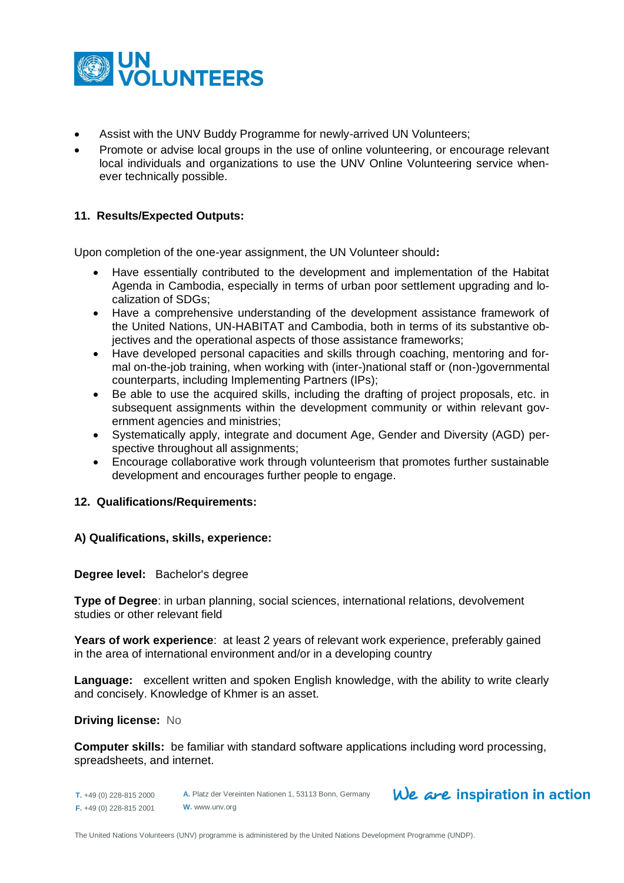

- Assist with the UNV Buddy Programme for newly-arrived UN Volunteers;
- Promote or advise local groups in the use of online volunteering, or encourage relevant local individuals and organizations to use the UNV Online Volunteering service whenever technically possible.

## **11. Results/Expected Outputs:**

Upon completion of the one-year assignment, the UN Volunteer should**:** 

- Have essentially contributed to the development and implementation of the Habitat Agenda in Cambodia, especially in terms of urban poor settlement upgrading and localization of SDGs;
- Have a comprehensive understanding of the development assistance framework of the United Nations, UN-HABITAT and Cambodia, both in terms of its substantive objectives and the operational aspects of those assistance frameworks;
- Have developed personal capacities and skills through coaching, mentoring and formal on-the-job training, when working with (inter-)national staff or (non-)governmental counterparts, including Implementing Partners (IPs);
- Be able to use the acquired skills, including the drafting of project proposals, etc. in subsequent assignments within the development community or within relevant government agencies and ministries;
- Systematically apply, integrate and document Age, Gender and Diversity (AGD) perspective throughout all assignments;
- Encourage collaborative work through volunteerism that promotes further sustainable development and encourages further people to engage.

### **12. Qualifications/Requirements:**

**A) Qualifications, skills, experience:** 

### **Degree level:** Bachelor's degree

**Type of Degree**: in urban planning, social sciences, international relations, devolvement studies or other relevant field

**Years of work experience**: at least 2 years of relevant work experience, preferably gained in the area of international environment and/or in a developing country

**Language:** excellent written and spoken English knowledge, with the ability to write clearly and concisely. Knowledge of Khmer is an asset.

#### **Driving license:** No

**Computer skills:** be familiar with standard software applications including word processing, spreadsheets, and internet.

**T.** +49 (0) 228-815 2000 **F.** +49 (0) 228-815 2001 **A.** Platz der Vereinten Nationen 1, 53113 Bonn, Germany **W.** www.unv.org

## We are inspiration in action

The United Nations Volunteers (UNV) programme is administered by the United Nations Development Programme (UNDP).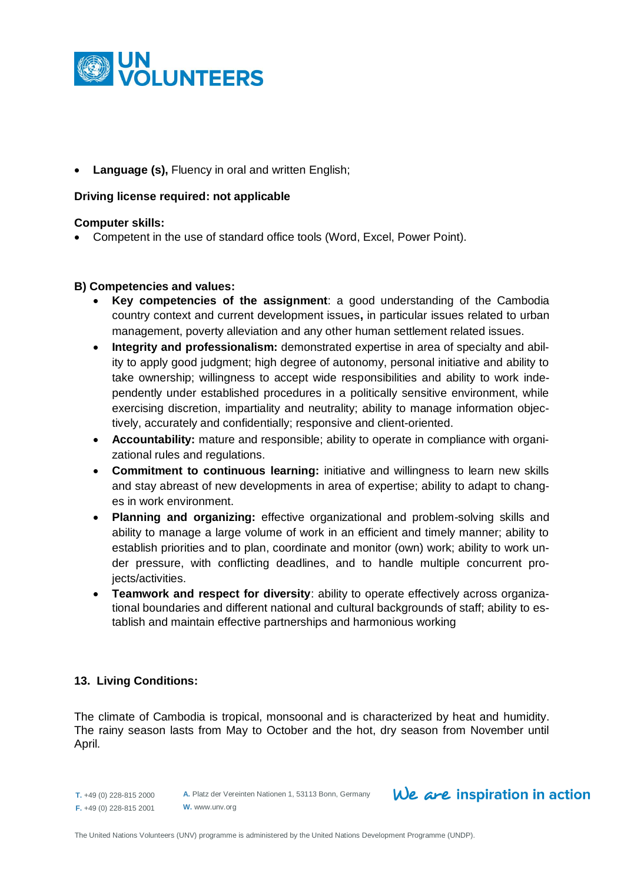

**Language (s),** Fluency in oral and written English;

## **Driving license required: not applicable**

### **Computer skills:**

Competent in the use of standard office tools (Word, Excel, Power Point).

### **B) Competencies and values:**

- **Key competencies of the assignment**: a good understanding of the Cambodia country context and current development issues**,** in particular issues related to urban management, poverty alleviation and any other human settlement related issues.
- **Integrity and professionalism:** demonstrated expertise in area of specialty and ability to apply good judgment; high degree of autonomy, personal initiative and ability to take ownership; willingness to accept wide responsibilities and ability to work independently under established procedures in a politically sensitive environment, while exercising discretion, impartiality and neutrality; ability to manage information objectively, accurately and confidentially; responsive and client-oriented.
- **Accountability:** mature and responsible; ability to operate in compliance with organizational rules and regulations.
- **Commitment to continuous learning:** initiative and willingness to learn new skills and stay abreast of new developments in area of expertise; ability to adapt to changes in work environment.
- **Planning and organizing:** effective organizational and problem-solving skills and ability to manage a large volume of work in an efficient and timely manner; ability to establish priorities and to plan, coordinate and monitor (own) work; ability to work under pressure, with conflicting deadlines, and to handle multiple concurrent projects/activities.
- **Teamwork and respect for diversity**: ability to operate effectively across organizational boundaries and different national and cultural backgrounds of staff; ability to establish and maintain effective partnerships and harmonious working

## **13. Living Conditions:**

The climate of Cambodia is tropical, monsoonal and is characterized by heat and humidity. The rainy season lasts from May to October and the hot, dry season from November until April.

**T.** +49 (0) 228-815 2000 **F.** +49 (0) 228-815 2001 **A.** Platz der Vereinten Nationen 1, 53113 Bonn, Germany **W.** www.unv.org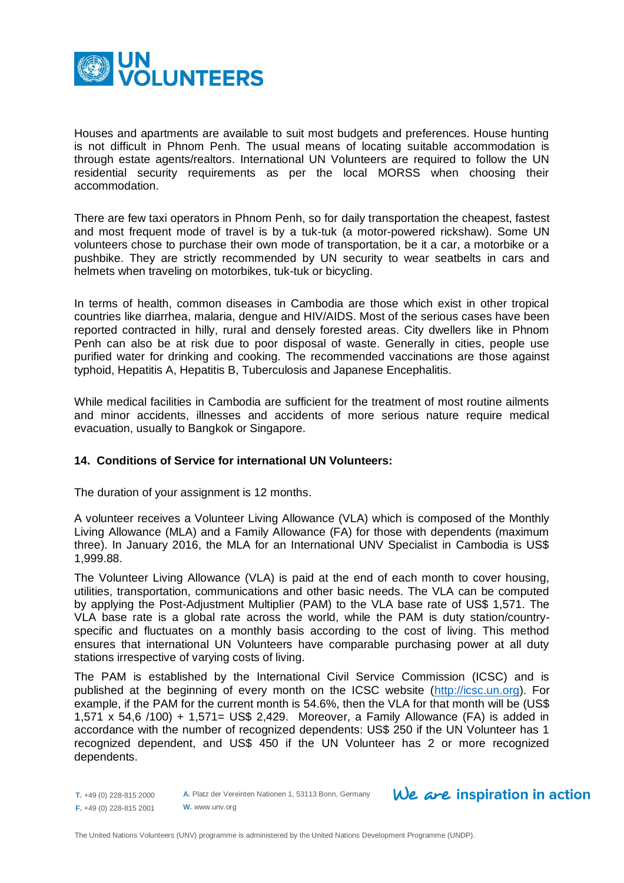

Houses and apartments are available to suit most budgets and preferences. House hunting is not difficult in Phnom Penh. The usual means of locating suitable accommodation is through estate agents/realtors. International UN Volunteers are required to follow the UN residential security requirements as per the local MORSS when choosing their accommodation.

There are few taxi operators in Phnom Penh, so for daily transportation the cheapest, fastest and most frequent mode of travel is by a tuk-tuk (a motor-powered rickshaw). Some UN volunteers chose to purchase their own mode of transportation, be it a car, a motorbike or a pushbike. They are strictly recommended by UN security to wear seatbelts in cars and helmets when traveling on motorbikes, tuk-tuk or bicycling.

In terms of health, common diseases in Cambodia are those which exist in other tropical countries like diarrhea, malaria, dengue and HIV/AIDS. Most of the serious cases have been reported contracted in hilly, rural and densely forested areas. City dwellers like in Phnom Penh can also be at risk due to poor disposal of waste. Generally in cities, people use purified water for drinking and cooking. The recommended vaccinations are those against typhoid, Hepatitis A, Hepatitis B, Tuberculosis and Japanese Encephalitis.

While medical facilities in Cambodia are sufficient for the treatment of most routine ailments and minor accidents, illnesses and accidents of more serious nature require medical evacuation, usually to Bangkok or Singapore.

## **14. Conditions of Service for international UN Volunteers:**

The duration of your assignment is 12 months.

A volunteer receives a Volunteer Living Allowance (VLA) which is composed of the Monthly Living Allowance (MLA) and a Family Allowance (FA) for those with dependents (maximum three). In January 2016, the MLA for an International UNV Specialist in Cambodia is US\$ 1,999.88.

The Volunteer Living Allowance (VLA) is paid at the end of each month to cover housing, utilities, transportation, communications and other basic needs. The VLA can be computed by applying the Post-Adjustment Multiplier (PAM) to the VLA base rate of US\$ 1,571. The VLA base rate is a global rate across the world, while the PAM is duty station/countryspecific and fluctuates on a monthly basis according to the cost of living. This method ensures that international UN Volunteers have comparable purchasing power at all duty stations irrespective of varying costs of living.

The PAM is established by the International Civil Service Commission (ICSC) and is published at the beginning of every month on the ICSC website [\(http://icsc.un.org\)](http://icsc.un.org/). For example, if the PAM for the current month is 54.6%, then the VLA for that month will be (US\$ 1,571 x 54,6 /100) + 1,571= US\$ 2,429. Moreover, a Family Allowance (FA) is added in accordance with the number of recognized dependents: US\$ 250 if the UN Volunteer has 1 recognized dependent, and US\$ 450 if the UN Volunteer has 2 or more recognized dependents.

**A.** Platz der Vereinten Nationen 1, 53113 Bonn, Germany **W.** www.unv.org

**T.** +49 (0) 228-815 2000 **F.** +49 (0) 228-815 2001